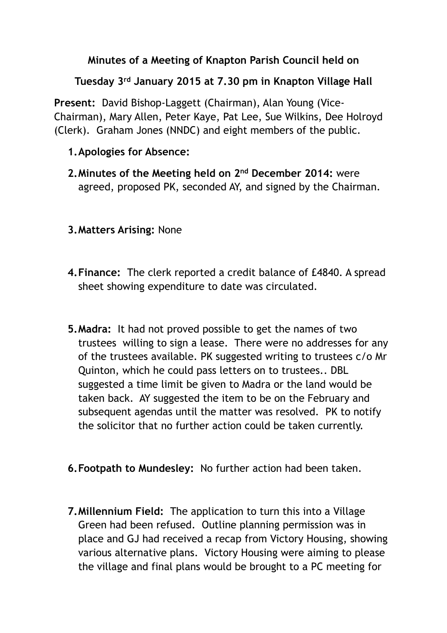### **Minutes of a Meeting of Knapton Parish Council held on**

# **Tuesday 3rd January 2015 at 7.30 pm in Knapton Village Hall**

**Present:** David Bishop-Laggett (Chairman), Alan Young (Vice-Chairman), Mary Allen, Peter Kaye, Pat Lee, Sue Wilkins, Dee Holroyd (Clerk). Graham Jones (NNDC) and eight members of the public.

# **1.Apologies for Absence:**

**2.Minutes of the Meeting held on 2nd December 2014:** were agreed, proposed PK, seconded AY, and signed by the Chairman.

## **3.Matters Arising:** None

- **4.Finance:** The clerk reported a credit balance of £4840. A spread sheet showing expenditure to date was circulated.
- **5.Madra:** It had not proved possible to get the names of two trustees willing to sign a lease. There were no addresses for any of the trustees available. PK suggested writing to trustees c/o Mr Quinton, which he could pass letters on to trustees.. DBL suggested a time limit be given to Madra or the land would be taken back. AY suggested the item to be on the February and subsequent agendas until the matter was resolved. PK to notify the solicitor that no further action could be taken currently.
- **6.Footpath to Mundesley:** No further action had been taken.
- **7.Millennium Field:** The application to turn this into a Village Green had been refused. Outline planning permission was in place and GJ had received a recap from Victory Housing, showing various alternative plans. Victory Housing were aiming to please the village and final plans would be brought to a PC meeting for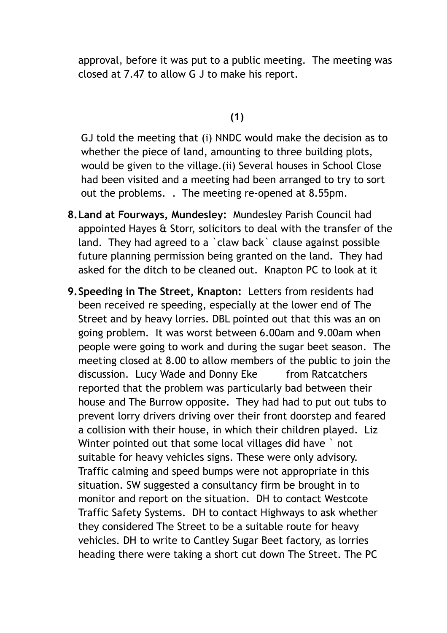approval, before it was put to a public meeting. The meeting was closed at 7.47 to allow G J to make his report.

#### **(1)**

GJ told the meeting that (i) NNDC would make the decision as to whether the piece of land, amounting to three building plots, would be given to the village.(ii) Several houses in School Close had been visited and a meeting had been arranged to try to sort out the problems. . The meeting re-opened at 8.55pm.

- **8.Land at Fourways, Mundesley:** Mundesley Parish Council had appointed Hayes & Storr, solicitors to deal with the transfer of the land. They had agreed to a `claw back` clause against possible future planning permission being granted on the land. They had asked for the ditch to be cleaned out. Knapton PC to look at it
- **9.Speeding in The Street, Knapton:** Letters from residents had been received re speeding, especially at the lower end of The Street and by heavy lorries. DBL pointed out that this was an on going problem. It was worst between 6.00am and 9.00am when people were going to work and during the sugar beet season. The meeting closed at 8.00 to allow members of the public to join the discussion. Lucy Wade and Donny Eke from Ratcatchers reported that the problem was particularly bad between their house and The Burrow opposite. They had had to put out tubs to prevent lorry drivers driving over their front doorstep and feared a collision with their house, in which their children played. Liz Winter pointed out that some local villages did have ` not suitable for heavy vehicles signs. These were only advisory. Traffic calming and speed bumps were not appropriate in this situation. SW suggested a consultancy firm be brought in to monitor and report on the situation. DH to contact Westcote Traffic Safety Systems. DH to contact Highways to ask whether they considered The Street to be a suitable route for heavy vehicles. DH to write to Cantley Sugar Beet factory, as lorries heading there were taking a short cut down The Street. The PC